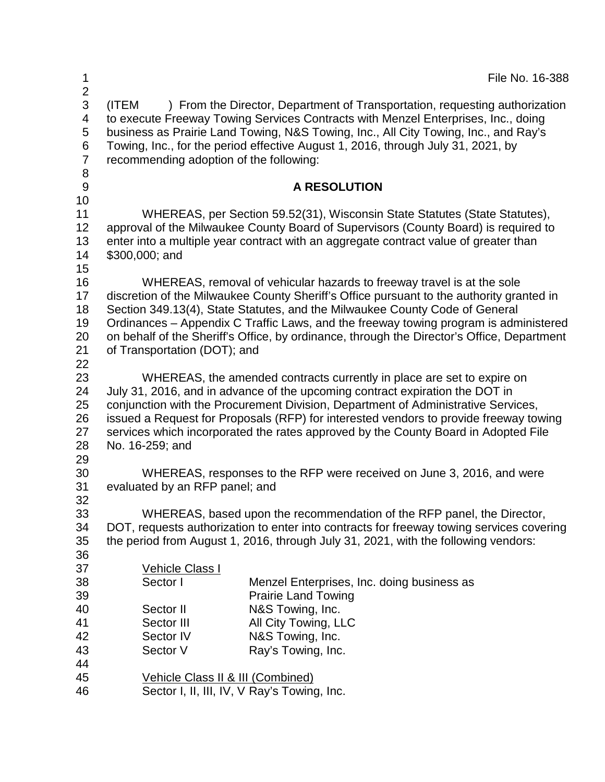| 1                                                                  |                                                                                                                                                                                                                                                                                                                                                                                                                                                                         | File No. 16-388                                                                                                                                                                                                                                                                                                                             |  |
|--------------------------------------------------------------------|-------------------------------------------------------------------------------------------------------------------------------------------------------------------------------------------------------------------------------------------------------------------------------------------------------------------------------------------------------------------------------------------------------------------------------------------------------------------------|---------------------------------------------------------------------------------------------------------------------------------------------------------------------------------------------------------------------------------------------------------------------------------------------------------------------------------------------|--|
| $\overline{\mathbf{c}}$<br>3<br>4<br>5<br>6<br>$\overline{7}$<br>8 | (ITEM<br>recommending adoption of the following:                                                                                                                                                                                                                                                                                                                                                                                                                        | ) From the Director, Department of Transportation, requesting authorization<br>to execute Freeway Towing Services Contracts with Menzel Enterprises, Inc., doing<br>business as Prairie Land Towing, N&S Towing, Inc., All City Towing, Inc., and Ray's<br>Towing, Inc., for the period effective August 1, 2016, through July 31, 2021, by |  |
| $9\,$<br>10                                                        |                                                                                                                                                                                                                                                                                                                                                                                                                                                                         | <b>A RESOLUTION</b>                                                                                                                                                                                                                                                                                                                         |  |
| 11<br>12<br>13<br>14<br>15                                         | \$300,000; and                                                                                                                                                                                                                                                                                                                                                                                                                                                          | WHEREAS, per Section 59.52(31), Wisconsin State Statutes (State Statutes),<br>approval of the Milwaukee County Board of Supervisors (County Board) is required to<br>enter into a multiple year contract with an aggregate contract value of greater than                                                                                   |  |
| 16<br>17<br>18<br>19<br>20<br>21<br>22                             | WHEREAS, removal of vehicular hazards to freeway travel is at the sole<br>discretion of the Milwaukee County Sheriff's Office pursuant to the authority granted in<br>Section 349.13(4), State Statutes, and the Milwaukee County Code of General<br>Ordinances – Appendix C Traffic Laws, and the freeway towing program is administered<br>on behalf of the Sheriff's Office, by ordinance, through the Director's Office, Department<br>of Transportation (DOT); and |                                                                                                                                                                                                                                                                                                                                             |  |
| 23<br>24<br>25<br>26<br>27<br>28                                   | WHEREAS, the amended contracts currently in place are set to expire on<br>July 31, 2016, and in advance of the upcoming contract expiration the DOT in<br>conjunction with the Procurement Division, Department of Administrative Services,<br>issued a Request for Proposals (RFP) for interested vendors to provide freeway towing<br>services which incorporated the rates approved by the County Board in Adopted File<br>No. 16-259; and                           |                                                                                                                                                                                                                                                                                                                                             |  |
| 29<br>30<br>31<br>32                                               | WHEREAS, responses to the RFP were received on June 3, 2016, and were<br>evaluated by an RFP panel; and                                                                                                                                                                                                                                                                                                                                                                 |                                                                                                                                                                                                                                                                                                                                             |  |
| 33<br>34<br>35<br>36                                               | WHEREAS, based upon the recommendation of the RFP panel, the Director,<br>DOT, requests authorization to enter into contracts for freeway towing services covering<br>the period from August 1, 2016, through July 31, 2021, with the following vendors:                                                                                                                                                                                                                |                                                                                                                                                                                                                                                                                                                                             |  |
| 37<br>38<br>39                                                     | Vehicle Class I<br>Sector I                                                                                                                                                                                                                                                                                                                                                                                                                                             | Menzel Enterprises, Inc. doing business as<br><b>Prairie Land Towing</b>                                                                                                                                                                                                                                                                    |  |
| 40<br>41<br>42<br>43                                               | Sector II<br>Sector III<br>Sector IV<br>Sector V                                                                                                                                                                                                                                                                                                                                                                                                                        | N&S Towing, Inc.<br>All City Towing, LLC<br>N&S Towing, Inc.<br>Ray's Towing, Inc.                                                                                                                                                                                                                                                          |  |
| 44<br>45<br>46                                                     | Vehicle Class II & III (Combined)<br>Sector I, II, III, IV, V Ray's Towing, Inc.                                                                                                                                                                                                                                                                                                                                                                                        |                                                                                                                                                                                                                                                                                                                                             |  |